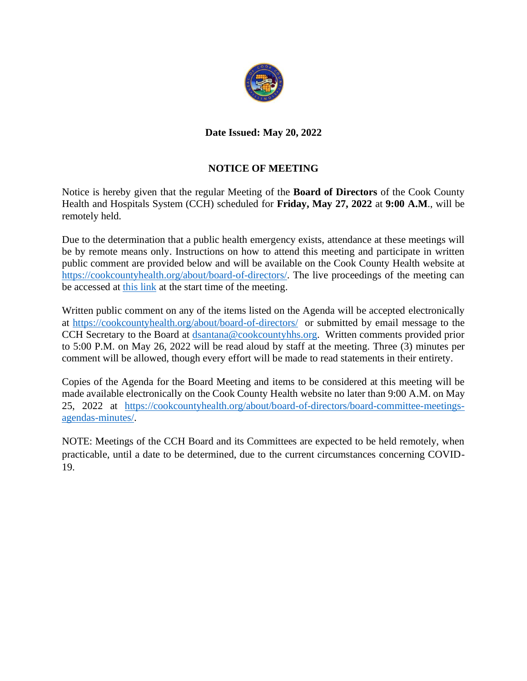

# **Date Issued: May 20, 2022**

# **NOTICE OF MEETING**

Notice is hereby given that the regular Meeting of the **Board of Directors** of the Cook County Health and Hospitals System (CCH) scheduled for **Friday, May 27, 2022** at **9:00 A.M**., will be remotely held.

Due to the determination that a public health emergency exists, attendance at these meetings will be by remote means only. Instructions on how to attend this meeting and participate in written public comment are provided below and will be available on the Cook County Health website at [https://cookcountyhealth.org/about/board-of-directors/.](https://cookcountyhealth.org/about/board-of-directors/) The live proceedings of the meeting can be accessed at [this link](https://www.youtube.com/channel/UCj9DT_l0RU-MVC-_u-tOkZA) at the start time of the meeting.

Written public comment on any of the items listed on the Agenda will be accepted electronically at <https://cookcountyhealth.org/about/board-of-directors/>or submitted by email message to the CCH Secretary to the Board at [dsantana@cookcountyhhs.org.](mailto:dsantana@cookcountyhhs.org) Written comments provided prior to 5:00 P.M. on May 26, 2022 will be read aloud by staff at the meeting. Three (3) minutes per comment will be allowed, though every effort will be made to read statements in their entirety.

Copies of the Agenda for the Board Meeting and items to be considered at this meeting will be made available electronically on the Cook County Health website no later than 9:00 A.M. on May 25, 2022 at [https://cookcountyhealth.org/about/board-of-directors/board-committee-meetings](https://cookcountyhealth.org/about/board-of-directors/board-committee-meetings-agendas-minutes/)[agendas-minutes/.](https://cookcountyhealth.org/about/board-of-directors/board-committee-meetings-agendas-minutes/)

NOTE: Meetings of the CCH Board and its Committees are expected to be held remotely, when practicable, until a date to be determined, due to the current circumstances concerning COVID-19.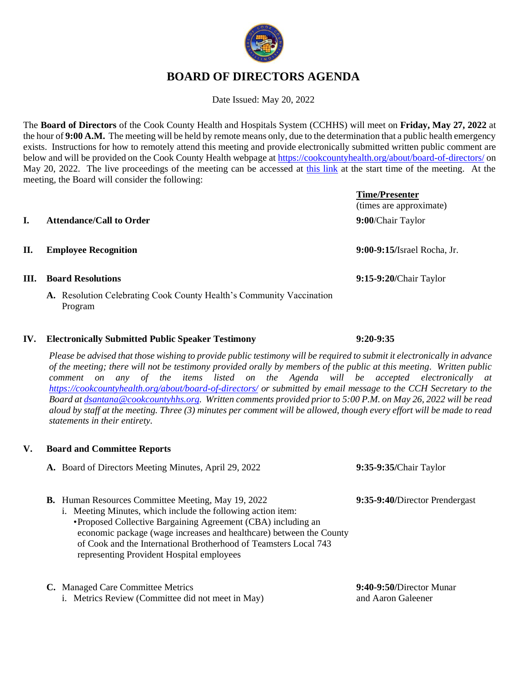

# **BOARD OF DIRECTORS AGENDA**

Date Issued: May 20, 2022

The **Board of Directors** of the Cook County Health and Hospitals System (CCHHS) will meet on **Friday, May 27, 2022** at the hour of **9:00 A.M.** The meeting will be held by remote means only, due to the determination that a public health emergency exists. Instructions for how to remotely attend this meeting and provide electronically submitted written public comment are below and will be provided on the Cook County Health webpage a[t https://cookcountyhealth.org/about/board-of-directors/](https://cookcountyhealth.org/about/board-of-directors/) on May 20, 2022. The live proceedings of the meeting can be accessed at [this link](https://www.youtube.com/channel/UCj9DT_l0RU-MVC-_u-tOkZA) at the start time of the meeting. At the meeting, the Board will consider the following:

# **Time/Presenter** (times are approximate) **I. Attendance/Call to Order 9:00**/Chair Taylor **II. Employee Recognition 9:00-9:15/**Israel Rocha, Jr. **III. Board Resolutions 9:15-9:20/**Chair Taylor

**A.** Resolution Celebrating Cook County Health's Community Vaccination

### **IV. Electronically Submitted Public Speaker Testimony 9:20-9:35**

*Please be advised that those wishing to provide public testimony will be required to submit it electronically in advance of the meeting; there will not be testimony provided orally by members of the public at this meeting. Written public comment on any of the items listed on the Agenda will be accepted electronically at <https://cookcountyhealth.org/about/board-of-directors/> or submitted by email message to the CCH Secretary to the Board at [dsantana@cookcountyhhs.org.](mailto:dsantana@cookcountyhhs.org) Written comments provided prior to 5:00 P.M. on May 26, 2022 will be read aloud by staff at the meeting. Three (3) minutes per comment will be allowed, though every effort will be made to read statements in their entirety.*

## **V. Board and Committee Reports**

Program

- **A.** Board of Directors Meeting Minutes, April 29, 2022 **9:35-9:35/**Chair Taylor
- **B.** Human Resources Committee Meeting, May 19, 2022 **9:35-9:40/**Director Prendergast
	- i. Meeting Minutes, which include the following action item: •Proposed Collective Bargaining Agreement (CBA) including an economic package (wage increases and healthcare) between the County of Cook and the International Brotherhood of Teamsters Local 743
		- representing Provident Hospital employees
- **C.** Managed Care Committee Metrics **9:40-9:50/**Director Munar
	- i. Metrics Review (Committee did not meet in May) and Aaron Galeener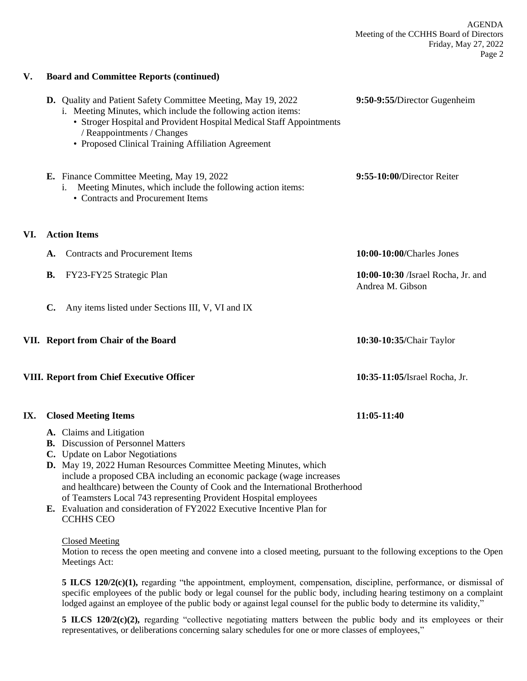|     | <b>D.</b> Quality and Patient Safety Committee Meeting, May 19, 2022<br>i. Meeting Minutes, which include the following action items:<br>• Stroger Hospital and Provident Hospital Medical Staff Appointments<br>/ Reappointments / Changes<br>• Proposed Clinical Training Affiliation Agreement | 9:50-9:55/Director Gugenheim                           |
|-----|---------------------------------------------------------------------------------------------------------------------------------------------------------------------------------------------------------------------------------------------------------------------------------------------------|--------------------------------------------------------|
|     | E. Finance Committee Meeting, May 19, 2022<br>Meeting Minutes, which include the following action items:<br>1.<br>• Contracts and Procurement Items                                                                                                                                               | 9:55-10:00/Director Reiter                             |
| VI. | <b>Action Items</b>                                                                                                                                                                                                                                                                               |                                                        |
|     | <b>Contracts and Procurement Items</b><br>A.                                                                                                                                                                                                                                                      | 10:00-10:00/Charles Jones                              |
|     | <b>B.</b><br>FY23-FY25 Strategic Plan                                                                                                                                                                                                                                                             | 10:00-10:30 /Israel Rocha, Jr. and<br>Andrea M. Gibson |
|     | $\mathbf{C}$ .<br>Any items listed under Sections III, V, VI and IX                                                                                                                                                                                                                               |                                                        |
|     | VII. Report from Chair of the Board                                                                                                                                                                                                                                                               | 10:30-10:35/Chair Taylor                               |
|     | VIII. Report from Chief Executive Officer                                                                                                                                                                                                                                                         | 10:35-11:05/Israel Rocha, Jr.                          |
| IX. | <b>Closed Meeting Items</b>                                                                                                                                                                                                                                                                       | 11:05-11:40                                            |
|     | A. Claims and Litigation<br><b>B.</b> Discussion of Personnel Matters<br>C. Update on Labor Negotiations<br>D. May 19, 2022 Human Resources Committee Meeting Minutes, which                                                                                                                      |                                                        |

- include a proposed CBA including an economic package (wage increases and healthcare) between the County of Cook and the International Brotherhood of Teamsters Local 743 representing Provident Hospital employees
- **E.** Evaluation and consideration of FY2022 Executive Incentive Plan for CCHHS CEO

#### Closed Meeting

**V. Board and Committee Reports (continued)**

Motion to recess the open meeting and convene into a closed meeting, pursuant to the following exceptions to the Open Meetings Act:

**5 ILCS 120/2(c)(1),** regarding "the appointment, employment, compensation, discipline, performance, or dismissal of specific employees of the public body or legal counsel for the public body, including hearing testimony on a complaint lodged against an employee of the public body or against legal counsel for the public body to determine its validity,"

**5 ILCS 120/2(c)(2),** regarding "collective negotiating matters between the public body and its employees or their representatives, or deliberations concerning salary schedules for one or more classes of employees,"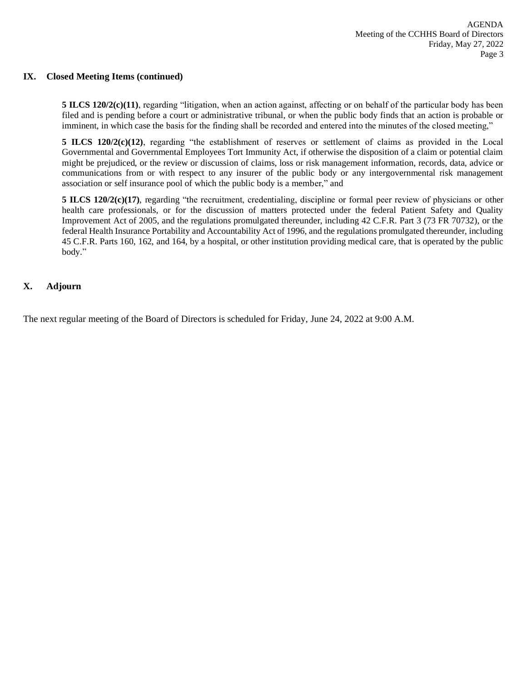#### **IX. Closed Meeting Items (continued)**

**5 ILCS 120/2(c)(11)**, regarding "litigation, when an action against, affecting or on behalf of the particular body has been filed and is pending before a court or administrative tribunal, or when the public body finds that an action is probable or imminent, in which case the basis for the finding shall be recorded and entered into the minutes of the closed meeting,"

**5 ILCS 120/2(c)(12)**, regarding "the establishment of reserves or settlement of claims as provided in the Local Governmental and Governmental Employees Tort Immunity Act, if otherwise the disposition of a claim or potential claim might be prejudiced, or the review or discussion of claims, loss or risk management information, records, data, advice or communications from or with respect to any insurer of the public body or any intergovernmental risk management association or self insurance pool of which the public body is a member," and

**5 ILCS 120/2(c)(17)**, regarding "the recruitment, credentialing, discipline or formal peer review of physicians or other health care professionals, or for the discussion of matters protected under the federal Patient Safety and Quality Improvement Act of 2005, and the regulations promulgated thereunder, including 42 C.F.R. Part 3 (73 FR 70732), or the federal Health Insurance Portability and Accountability Act of 1996, and the regulations promulgated thereunder, including 45 C.F.R. Parts 160, 162, and 164, by a hospital, or other institution providing medical care, that is operated by the public body."

#### **X. Adjourn**

The next regular meeting of the Board of Directors is scheduled for Friday, June 24, 2022 at 9:00 A.M.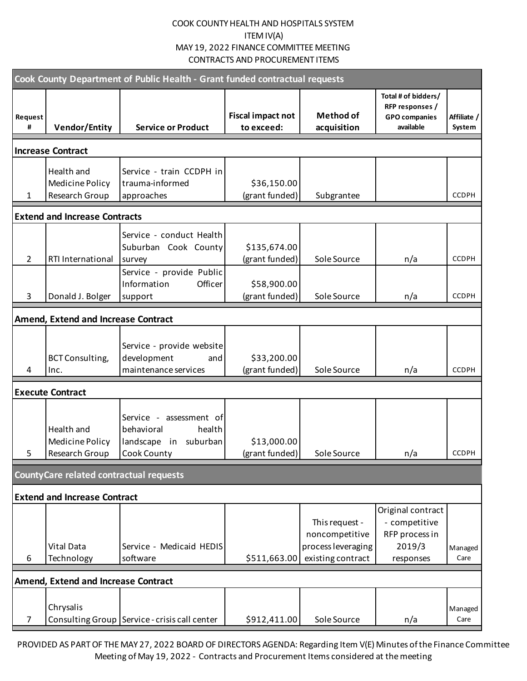| Cook County Department of Public Health - Grant funded contractual requests |                                                               |                                                                                        |                                        |                                                                             |                                                                             |                       |  |  |
|-----------------------------------------------------------------------------|---------------------------------------------------------------|----------------------------------------------------------------------------------------|----------------------------------------|-----------------------------------------------------------------------------|-----------------------------------------------------------------------------|-----------------------|--|--|
| Request<br>#                                                                | <b>Vendor/Entity</b>                                          | <b>Service or Product</b>                                                              | <b>Fiscal impact not</b><br>to exceed: | <b>Method of</b><br>acquisition                                             | Total # of bidders/<br>RFP responses /<br><b>GPO</b> companies<br>available | Affiliate /<br>System |  |  |
|                                                                             | <b>Increase Contract</b>                                      |                                                                                        |                                        |                                                                             |                                                                             |                       |  |  |
| $\mathbf{1}$                                                                | Health and<br>Medicine Policy<br>Research Group               | Service - train CCDPH in<br>trauma-informed<br>approaches                              | \$36,150.00<br>(grant funded)          | Subgrantee                                                                  |                                                                             | <b>CCDPH</b>          |  |  |
|                                                                             | <b>Extend and Increase Contracts</b>                          |                                                                                        |                                        |                                                                             |                                                                             |                       |  |  |
| $\overline{2}$                                                              | RTI International                                             | Service - conduct Health<br>Suburban Cook County<br>survey<br>Service - provide Public | \$135,674.00<br>(grant funded)         | Sole Source                                                                 | n/a                                                                         | <b>CCDPH</b>          |  |  |
| 3                                                                           | Donald J. Bolger                                              | Officer<br>Information<br>support                                                      | \$58,900.00<br>(grant funded)          | Sole Source                                                                 | n/a                                                                         | <b>CCDPH</b>          |  |  |
|                                                                             | Amend, Extend and Increase Contract                           |                                                                                        |                                        |                                                                             |                                                                             |                       |  |  |
| 4                                                                           | <b>BCT Consulting,</b><br>Inc.                                | Service - provide website<br>development<br>and<br>maintenance services                | \$33,200.00<br>(grant funded)          | Sole Source                                                                 | n/a                                                                         | <b>CCDPH</b>          |  |  |
|                                                                             | <b>Execute Contract</b>                                       |                                                                                        |                                        |                                                                             |                                                                             |                       |  |  |
| 5                                                                           | Health and<br>Medicine Policy<br>Research Group   Cook County | Service - assessment of<br>behavioral<br>health<br>landscape in suburban               | \$13,000.00<br>(grant funded)          | Sole Source                                                                 | n/a                                                                         | CCDPH                 |  |  |
| County Care related contractual requests                                    |                                                               |                                                                                        |                                        |                                                                             |                                                                             |                       |  |  |
|                                                                             | <b>Extend and Increase Contract</b>                           |                                                                                        |                                        |                                                                             |                                                                             |                       |  |  |
| 6                                                                           | Vital Data<br>Technology                                      | Service - Medicaid HEDIS<br>software                                                   | \$511,663.00                           | This request -<br>noncompetitive<br>process leveraging<br>existing contract | Original contract<br>- competitive<br>RFP process in<br>2019/3<br>responses | Managed<br>Care       |  |  |
| <b>Amend, Extend and Increase Contract</b>                                  |                                                               |                                                                                        |                                        |                                                                             |                                                                             |                       |  |  |
| 7                                                                           | Chrysalis                                                     | Consulting Group Service - crisis call center                                          | \$912,411.00                           | Sole Source                                                                 | n/a                                                                         | Managed<br>Care       |  |  |

PROVIDED AS PART OF THE MAY 27, 2022 BOARD OF DIRECTORS AGENDA: Regarding Item V(E) Minutes of the Finance Committee Meeting of May 19, 2022 - Contracts and Procurement Items considered at the meeting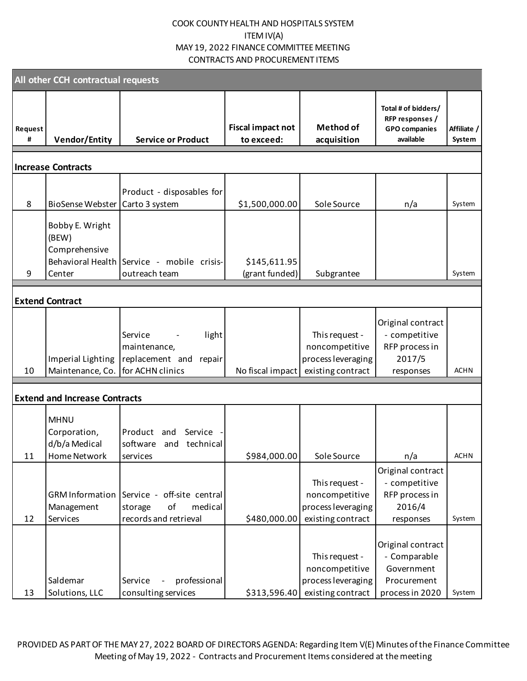|                                                              | All other CCH contractual requests                           |                                                                                                                                                                                                                                              |                                                                             |                                                                                                          |                              |
|--------------------------------------------------------------|--------------------------------------------------------------|----------------------------------------------------------------------------------------------------------------------------------------------------------------------------------------------------------------------------------------------|-----------------------------------------------------------------------------|----------------------------------------------------------------------------------------------------------|------------------------------|
| <b>Vendor/Entity</b>                                         | <b>Service or Product</b>                                    | <b>Fiscal impact not</b><br>to exceed:                                                                                                                                                                                                       | <b>Method of</b><br>acquisition                                             | Total # of bidders/<br>RFP responses /<br><b>GPO</b> companies<br>available                              | Affiliate /<br>System        |
| <b>Increase Contracts</b>                                    |                                                              |                                                                                                                                                                                                                                              |                                                                             |                                                                                                          |                              |
| <b>BioSense Webster</b>                                      | Carto 3 system                                               | \$1,500,000.00                                                                                                                                                                                                                               | Sole Source                                                                 | n/a                                                                                                      | System                       |
| Bobby E. Wright<br>(BEW)<br>Comprehensive                    |                                                              | \$145,611.95                                                                                                                                                                                                                                 |                                                                             |                                                                                                          | System                       |
|                                                              |                                                              |                                                                                                                                                                                                                                              |                                                                             |                                                                                                          |                              |
| <b>Extend Contract</b>                                       |                                                              |                                                                                                                                                                                                                                              |                                                                             |                                                                                                          |                              |
| Imperial Lighting                                            | light<br>Service<br>maintenance,<br>replacement and          |                                                                                                                                                                                                                                              | This request -<br>noncompetitive<br>process leveraging<br>existing contract | Original contract<br>- competitive<br>RFP process in<br>2017/5<br>responses                              | <b>ACHN</b>                  |
|                                                              |                                                              |                                                                                                                                                                                                                                              |                                                                             |                                                                                                          |                              |
| <b>MHNU</b><br>Corporation,<br>d/b/a Medical<br>Home Network | Product and<br>Service<br>software and technical<br>services | \$984,000.00                                                                                                                                                                                                                                 | Sole Source                                                                 | n/a                                                                                                      | <b>ACHN</b>                  |
| Management                                                   | of<br>medical<br>storage                                     |                                                                                                                                                                                                                                              | This request -<br>noncompetitive<br>process leveraging                      | Original contract<br>- competitive<br>RFP process in<br>2016/4                                           | System                       |
| Saldemar                                                     | professional<br>Service                                      |                                                                                                                                                                                                                                              | This request -<br>noncompetitive<br>process leveraging                      | Original contract<br>- Comparable<br>Government<br>Procurement                                           | System                       |
|                                                              | Center<br>Services<br>Solutions, LLC                         | Behavioral Health<br>Service - mobile crisis-<br>outreach team<br>Maintenance, Co.<br>for ACHN clinics<br><b>Extend and Increase Contracts</b><br>GRM Information Service - off-site central<br>records and retrieval<br>consulting services | Product - disposables for<br>(grant funded)<br>repair                       | Subgrantee<br>No fiscal impact<br>\$480,000.00<br>existing contract<br>existing contract<br>\$313,596.40 | responses<br>process in 2020 |

PROVIDED AS PART OF THE MAY 27, 2022 BOARD OF DIRECTORS AGENDA: Regarding Item V(E) Minutes of the Finance Committee Meeting of May 19, 2022 - Contracts and Procurement Items considered at the meeting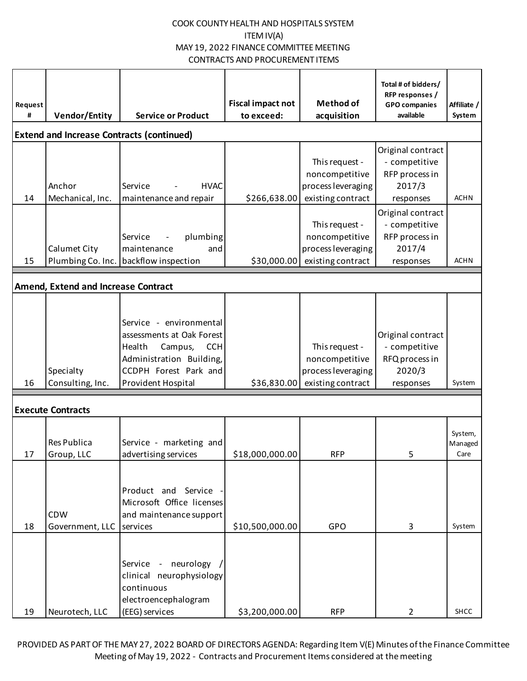| Request<br># | <b>Vendor/Entity</b>                             | <b>Service or Product</b>                                                                                                                                          | <b>Fiscal impact not</b><br>to exceed: | <b>Method of</b><br>acquisition                                             | Total # of bidders/<br>RFP responses /<br><b>GPO</b> companies<br>available | Affiliate /<br>System      |
|--------------|--------------------------------------------------|--------------------------------------------------------------------------------------------------------------------------------------------------------------------|----------------------------------------|-----------------------------------------------------------------------------|-----------------------------------------------------------------------------|----------------------------|
|              | <b>Extend and Increase Contracts (continued)</b> |                                                                                                                                                                    |                                        |                                                                             |                                                                             |                            |
| 14           | Anchor<br>Mechanical, Inc.                       | Service<br><b>HVAC</b><br>maintenance and repair                                                                                                                   | \$266,638.00                           | This request -<br>noncompetitive<br>process leveraging<br>existing contract | Original contract<br>- competitive<br>RFP process in<br>2017/3<br>responses | <b>ACHN</b>                |
| 15           | Calumet City<br>Plumbing Co. Inc.                | plumbing<br>Service<br>maintenance<br>and<br>backflow inspection                                                                                                   | \$30,000.00                            | This request -<br>noncompetitive<br>process leveraging<br>existing contract | Original contract<br>- competitive<br>RFP process in<br>2017/4<br>responses | <b>ACHN</b>                |
|              | Amend, Extend and Increase Contract              |                                                                                                                                                                    |                                        |                                                                             |                                                                             |                            |
| 16           | Specialty<br>Consulting, Inc.                    | Service - environmental<br>assessments at Oak Forest<br>Health<br>Campus,<br><b>CCH</b><br>Administration Building,<br>CCDPH Forest Park and<br>Provident Hospital | \$36,830.00                            | This request -<br>noncompetitive<br>process leveraging<br>existing contract | Original contract<br>- competitive<br>RFQ process in<br>2020/3<br>responses | System                     |
|              | <b>Execute Contracts</b>                         |                                                                                                                                                                    |                                        |                                                                             |                                                                             |                            |
| 17           | <b>Res Publica</b><br>Group, LLC                 | Service - marketing and<br>advertising services                                                                                                                    | \$18,000,000.00                        | <b>RFP</b>                                                                  | 5                                                                           | System,<br>Managed<br>Care |
| 18           | <b>CDW</b><br>Government, LLC                    | Product and Service<br>Microsoft Office licenses<br>and maintenance support<br>services                                                                            | \$10,500,000.00                        | GPO                                                                         | 3                                                                           | System                     |
| 19           | Neurotech, LLC                                   | Service - neurology<br>clinical neurophysiology<br>continuous<br>electroencephalogram<br>(EEG) services                                                            | \$3,200,000.00                         | <b>RFP</b>                                                                  | $\overline{2}$                                                              | SHCC                       |

PROVIDED AS PART OF THE MAY 27, 2022 BOARD OF DIRECTORS AGENDA: Regarding Item V(E) Minutes of the Finance Committee Meeting of May 19, 2022 - Contracts and Procurement Items considered at the meeting